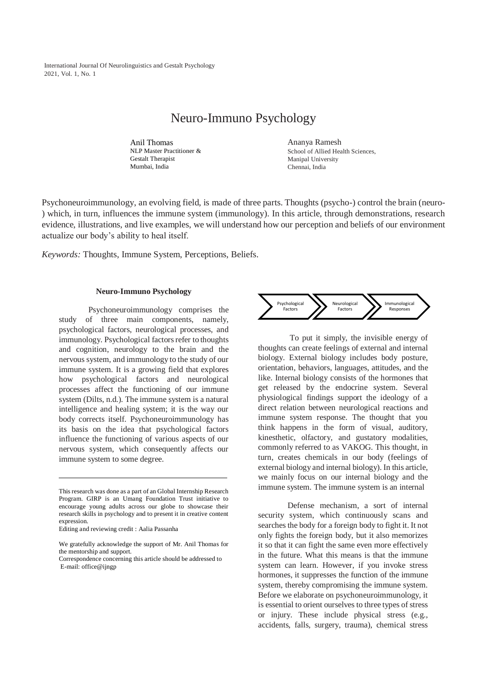International Journal Of Neurolinguistics and Gestalt Psychology 2021, Vol. 1, No. 1

# Neuro-Immuno Psychology

Anil Thomas NLP Master Practitioner & Gestalt Therapist Mumbai, India

Ananya Ramesh School of Allied Health Sciences, Manipal University Chennai, India

Psychoneuroimmunology, an evolving field, is made of three parts. Thoughts (psycho-) control the brain (neuro- ) which, in turn, influences the immune system (immunology). In this article, through demonstrations, research evidence, illustrations, and live examples, we will understand how our perception and beliefs of our environment actualize our body's ability to heal itself.

*Keywords:* Thoughts, Immune System, Perceptions, Beliefs.

#### **Neuro-Immuno Psychology**

Psychoneuroimmunology comprises the study of three main components, namely, psychological factors, neurological processes, and immunology. Psychological factors refer to thoughts and cognition, neurology to the brain and the nervous system, and immunology to the study of our immune system. It is a growing field that explores how psychological factors and neurological processes affect the functioning of our immune system (Dilts, n.d.). The immune system is a natural intelligence and healing system; it is the way our body corrects itself. Psychoneuroimmunology has its basis on the idea that psychological factors influence the functioning of various aspects of our nervous system, which consequently affects our immune system to some degree.

Editing and reviewing credit : Aalia Passanha



To put it simply, the invisible energy of thoughts can create feelings of external and internal biology. External biology includes body posture, orientation, behaviors, languages, attitudes, and the like. Internal biology consists of the hormones that get released by the endocrine system. Several physiological findings support the ideology of a direct relation between neurological reactions and immune system response. The thought that you think happens in the form of visual, auditory, kinesthetic, olfactory, and gustatory modalities, commonly referred to as VAKOG. This thought, in turn, creates chemicals in our body (feelings of external biology and internal biology). In this article, we mainly focus on our internal biology and the immune system. The immune system is an internal

Defense mechanism, a sort of internal security system, which continuously scans and searches the body for a foreign body to fight it. It not only fights the foreign body, but it also memorizes it so that it can fight the same even more effectively in the future. What this means is that the immune system can learn. However, if you invoke stress hormones, it suppresses the function of the immune system, thereby compromising the immune system. Before we elaborate on psychoneuroimmunology, it is essential to orient ourselves to three types of stress or injury. These include physical stress (e.g., accidents, falls, surgery, trauma), chemical stress

This research was done as a part of an Global Internship Research Program. GIRP is an Umang Foundation Trust initiative to encourage young adults across our globe to showcase their research skills in psychology and to present it in creative content expression.

We gratefully acknowledge the support of Mr. Anil Thomas for the mentorship and support.

Correspondence concerning this article should be addressed to E-mail: office@ijngp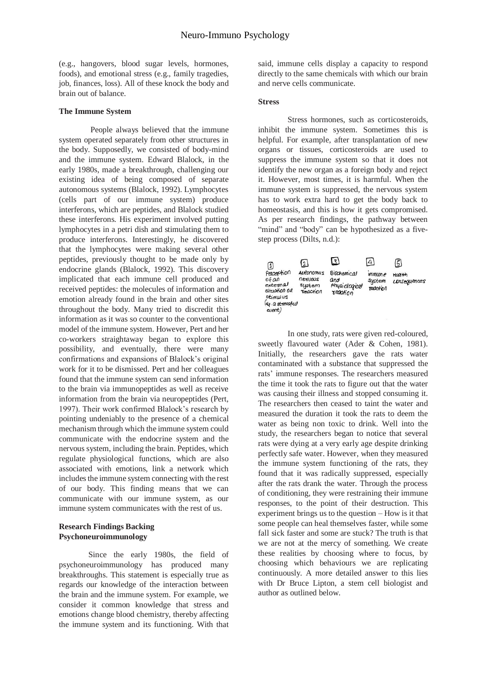(e.g., hangovers, blood sugar levels, hormones, foods), and emotional stress (e.g., family tragedies, job, finances, loss). All of these knock the body and brain out of balance.

#### **The Immune System**

People always believed that the immune system operated separately from other structures in the body. Supposedly, we consisted of body-mind and the immune system. Edward Blalock, in the early 1980s, made a breakthrough, challenging our existing idea of being composed of separate autonomous systems (Blalock, 1992). Lymphocytes (cells part of our immune system) produce interferons, which are peptides, and Blalock studied these interferons. His experiment involved putting lymphocytes in a petri dish and stimulating them to produce interferons. Interestingly, he discovered that the lymphocytes were making several other peptides, previously thought to be made only by endocrine glands (Blalock, 1992). This discovery implicated that each immune cell produced and received peptides: the molecules of information and emotion already found in the brain and other sites throughout the body. Many tried to discredit this information as it was so counter to the conventional model of the immune system. However, Pert and her co-workers straightaway began to explore this possibility, and eventually, there were many confirmations and expansions of Blalock's original work for it to be dismissed. Pert and her colleagues found that the immune system can send information to the brain via immunopeptides as well as receive information from the brain via neuropeptides (Pert, 1997). Their work confirmed Blalock's research by pointing undeniably to the presence of a chemical mechanism through which the immune system could communicate with the endocrine system and the nervous system, including the brain. Peptides, which regulate physiological functions, which are also associated with emotions, link a network which includes the immune system connecting with the rest of our body. This finding means that we can communicate with our immune system, as our immune system communicates with the rest of us.

## **Research Findings Backing Psychoneuroimmunology**

Since the early 1980s, the field of psychoneuroimmunology has produced many breakthroughs. This statement is especially true as regards our knowledge of the interaction between the brain and the immune system. For example, we consider it common knowledge that stress and emotions change blood chemistry, thereby affecting the immune system and its functioning. With that said, immune cells display a capacity to respond directly to the same chemicals with which our brain and nerve cells communicate.

#### **Stress**

Stress hormones, such as corticosteroids, inhibit the immune system. Sometimes this is helpful. For example, after transplantation of new organs or tissues, corticosteroids are used to suppress the immune system so that it does not identify the new organ as a foreign body and reject it. However, most times, it is harmful. When the immune system is suppressed, the nervous system has to work extra hard to get the body back to homeostasis, and this is how it gets compromised. As per research findings, the pathway between "mind" and "body" can be hypothesized as a fivestep process (Dilts, n.d.):

| മ<br>Perception<br>0 f a n<br>external<br>Situation of<br>stimulus | $\left( \frac{1}{2} \right)$<br>Autonomys<br>nexuous<br>system<br>Teachion | ⊡<br><b>Biochemical</b><br>and<br>physiological<br>reaction | 4'<br>mmune<br>System<br>reaction | G<br>HOOHh<br>consequences |
|--------------------------------------------------------------------|----------------------------------------------------------------------------|-------------------------------------------------------------|-----------------------------------|----------------------------|
| (ap. a stressful<br>event)                                         |                                                                            |                                                             |                                   |                            |

In one study, rats were given red-coloured, sweetly flavoured water (Ader & Cohen, 1981). Initially, the researchers gave the rats water contaminated with a substance that suppressed the rats' immune responses. The researchers measured the time it took the rats to figure out that the water was causing their illness and stopped consuming it. The researchers then ceased to taint the water and measured the duration it took the rats to deem the water as being non toxic to drink. Well into the study, the researchers began to notice that several rats were dying at a very early age despite drinking perfectly safe water. However, when they measured the immune system functioning of the rats, they found that it was radically suppressed, especially after the rats drank the water. Through the process of conditioning, they were restraining their immune responses, to the point of their destruction. This experiment brings us to the question – How is it that some people can heal themselves faster, while some fall sick faster and some are stuck? The truth is that we are not at the mercy of something. We create these realities by choosing where to focus, by choosing which behaviours we are replicating continuously. A more detailed answer to this lies with Dr Bruce Lipton, a stem cell biologist and author as outlined below.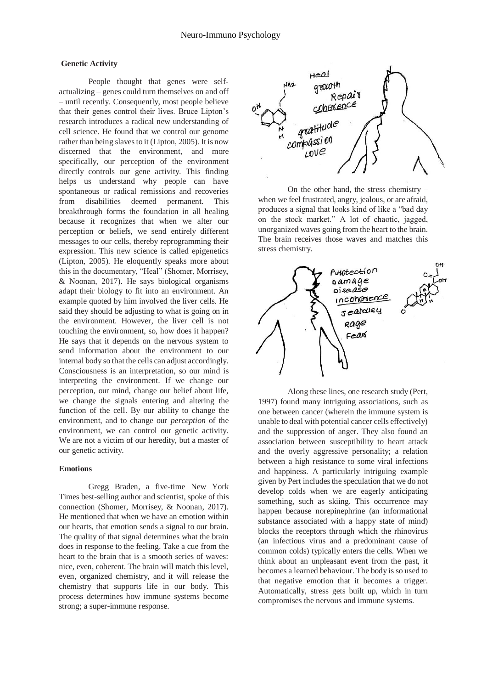#### **Genetic Activity**

People thought that genes were selfactualizing – genes could turn themselves on and off – until recently. Consequently, most people believe that their genes control their lives. Bruce Lipton's research introduces a radical new understanding of cell science. He found that we control our genome rather than being slaves to it (Lipton, 2005). It is now discerned that the environment, and more specifically, our perception of the environment directly controls our gene activity. This finding helps us understand why people can have spontaneous or radical remissions and recoveries from disabilities deemed permanent. This breakthrough forms the foundation in all healing because it recognizes that when we alter our perception or beliefs, we send entirely different messages to our cells, thereby reprogramming their expression. This new science is called epigenetics (Lipton, 2005). He eloquently speaks more about this in the documentary, "Heal" (Shomer, Morrisey, & Noonan, 2017). He says biological organisms adapt their biology to fit into an environment. An example quoted by him involved the liver cells. He said they should be adjusting to what is going on in the environment. However, the liver cell is not touching the environment, so, how does it happen? He says that it depends on the nervous system to send information about the environment to our internal body so that the cells can adjust accordingly. Consciousness is an interpretation, so our mind is interpreting the environment. If we change our perception, our mind, change our belief about life, we change the signals entering and altering the function of the cell. By our ability to change the environment, and to change our *perception* of the environment, we can control our genetic activity. We are not a victim of our heredity, but a master of our genetic activity.

#### **Emotions**

Gregg Braden, a five-time New York Times best-selling author and scientist, spoke of this connection (Shomer, Morrisey, & Noonan, 2017). He mentioned that when we have an emotion within our hearts, that emotion sends a signal to our brain. The quality of that signal determines what the brain does in response to the feeling. Take a cue from the heart to the brain that is a smooth series of waves: nice, even, coherent. The brain will match this level, even, organized chemistry, and it will release the chemistry that supports life in our body. This process determines how immune systems become strong; a super-immune response.



On the other hand, the stress chemistry – when we feel frustrated, angry, jealous, or are afraid, produces a signal that looks kind of like a "bad day on the stock market." A lot of chaotic, jagged, unorganized waves going from the heart to the brain. The brain receives those waves and matches this stress chemistry.



Along these lines, one research study (Pert, 1997) found many intriguing associations, such as one between cancer (wherein the immune system is unable to deal with potential cancer cells effectively) and the suppression of anger. They also found an association between susceptibility to heart attack and the overly aggressive personality; a relation between a high resistance to some viral infections and happiness. A particularly intriguing example given by Pert includes the speculation that we do not develop colds when we are eagerly anticipating something, such as skiing. This occurrence may happen because norepinephrine (an informational substance associated with a happy state of mind) blocks the receptors through which the rhinovirus (an infectious virus and a predominant cause of common colds) typically enters the cells. When we think about an unpleasant event from the past, it becomes a learned behaviour. The body is so used to that negative emotion that it becomes a trigger. Automatically, stress gets built up, which in turn compromises the nervous and immune systems.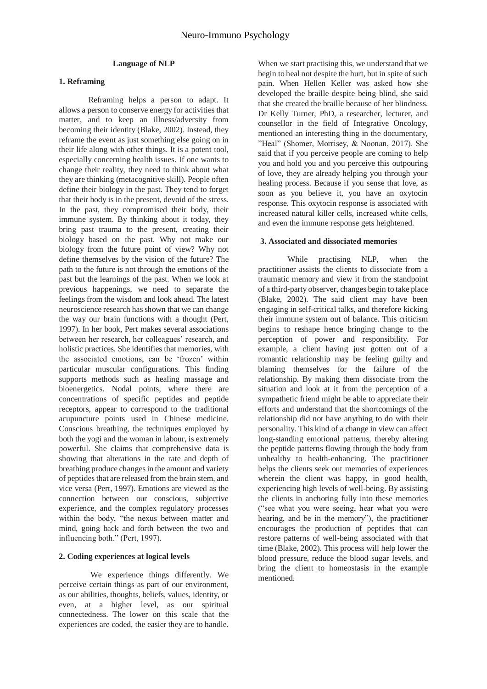#### **Language of NLP**

#### **1. Reframing**

Reframing helps a person to adapt. It allows a person to conserve energy for activities that matter, and to keep an illness/adversity from becoming their identity (Blake, 2002). Instead, they reframe the event as just something else going on in their life along with other things. It is a potent tool, especially concerning health issues. If one wants to change their reality, they need to think about what they are thinking (metacognitive skill). People often define their biology in the past. They tend to forget that their body is in the present, devoid of the stress. In the past, they compromised their body, their immune system. By thinking about it today, they bring past trauma to the present, creating their biology based on the past. Why not make our biology from the future point of view? Why not define themselves by the vision of the future? The path to the future is not through the emotions of the past but the learnings of the past. When we look at previous happenings, we need to separate the feelings from the wisdom and look ahead. The latest neuroscience research has shown that we can change the way our brain functions with a thought (Pert, 1997). In her book, Pert makes several associations between her research, her colleagues' research, and holistic practices. She identifies that memories, with the associated emotions, can be 'frozen' within particular muscular configurations. This finding supports methods such as healing massage and bioenergetics. Nodal points, where there are concentrations of specific peptides and peptide receptors, appear to correspond to the traditional acupuncture points used in Chinese medicine. Conscious breathing, the techniques employed by both the yogi and the woman in labour, is extremely powerful. She claims that comprehensive data is showing that alterations in the rate and depth of breathing produce changes in the amount and variety of peptides that are released from the brain stem, and vice versa (Pert, 1997). Emotions are viewed as the connection between our conscious, subjective experience, and the complex regulatory processes within the body, "the nexus between matter and mind, going back and forth between the two and influencing both." (Pert, 1997).

## **2. Coding experiences at logical levels**

We experience things differently. We perceive certain things as part of our environment, as our abilities, thoughts, beliefs, values, identity, or even, at a higher level, as our spiritual connectedness. The lower on this scale that the experiences are coded, the easier they are to handle.

When we start practising this, we understand that we begin to heal not despite the hurt, but in spite of such pain. When Hellen Keller was asked how she developed the braille despite being blind, she said that she created the braille because of her blindness. Dr Kelly Turner, PhD, a researcher, lecturer, and counsellor in the field of Integrative Oncology, mentioned an interesting thing in the documentary, "Heal" (Shomer, Morrisey, & Noonan, 2017). She said that if you perceive people are coming to help you and hold you and you perceive this outpouring of love, they are already helping you through your healing process. Because if you sense that love, as soon as you believe it, you have an oxytocin response. This oxytocin response is associated with increased natural killer cells, increased white cells, and even the immune response gets heightened.

#### **3. Associated and dissociated memories**

While practising NLP, when the practitioner assists the clients to dissociate from a traumatic memory and view it from the standpoint of a third-party observer, changes begin to take place (Blake, 2002). The said client may have been engaging in self-critical talks, and therefore kicking their immune system out of balance. This criticism begins to reshape hence bringing change to the perception of power and responsibility. For example, a client having just gotten out of a romantic relationship may be feeling guilty and blaming themselves for the failure of the relationship. By making them dissociate from the situation and look at it from the perception of a sympathetic friend might be able to appreciate their efforts and understand that the shortcomings of the relationship did not have anything to do with their personality. This kind of a change in view can affect long-standing emotional patterns, thereby altering the peptide patterns flowing through the body from unhealthy to health-enhancing. The practitioner helps the clients seek out memories of experiences wherein the client was happy, in good health, experiencing high levels of well-being. By assisting the clients in anchoring fully into these memories ("see what you were seeing, hear what you were hearing, and be in the memory"), the practitioner encourages the production of peptides that can restore patterns of well-being associated with that time (Blake, 2002). This process will help lower the blood pressure, reduce the blood sugar levels, and bring the client to homeostasis in the example mentioned.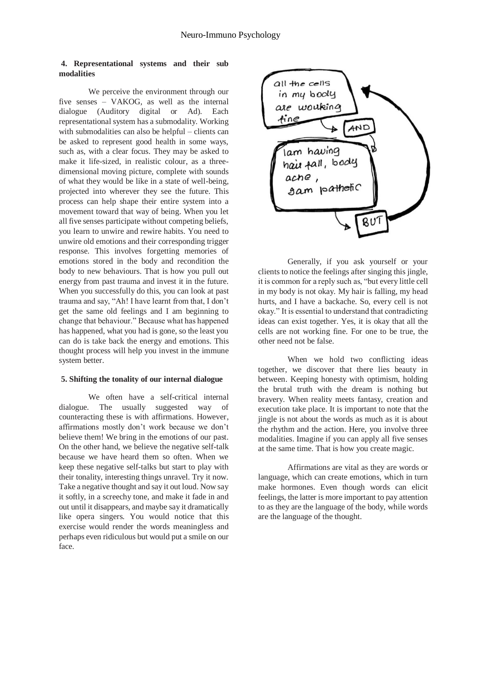## **4. Representational systems and their sub modalities**

We perceive the environment through our five senses – VAKOG, as well as the internal dialogue (Auditory digital or Ad). Each representational system has a submodality. Working with submodalities can also be helpful – clients can be asked to represent good health in some ways, such as, with a clear focus. They may be asked to make it life-sized, in realistic colour, as a threedimensional moving picture, complete with sounds of what they would be like in a state of well-being, projected into wherever they see the future. This process can help shape their entire system into a movement toward that way of being. When you let all five senses participate without competing beliefs, you learn to unwire and rewire habits. You need to unwire old emotions and their corresponding trigger response. This involves forgetting memories of emotions stored in the body and recondition the body to new behaviours. That is how you pull out energy from past trauma and invest it in the future. When you successfully do this, you can look at past trauma and say, "Ah! I have learnt from that, I don't get the same old feelings and I am beginning to change that behaviour." Because what has happened has happened, what you had is gone, so the least you can do is take back the energy and emotions. This thought process will help you invest in the immune system better.

#### **5. Shifting the tonality of our internal dialogue**

We often have a self-critical internal dialogue. The usually suggested way of counteracting these is with affirmations. However, affirmations mostly don't work because we don't believe them! We bring in the emotions of our past. On the other hand, we believe the negative self-talk because we have heard them so often. When we keep these negative self-talks but start to play with their tonality, interesting things unravel. Try it now. Take a negative thought and say it out loud. Now say it softly, in a screechy tone, and make it fade in and out until it disappears, and maybe say it dramatically like opera singers. You would notice that this exercise would render the words meaningless and perhaps even ridiculous but would put a smile on our face.



Generally, if you ask yourself or your clients to notice the feelings after singing this jingle, it is common for a reply such as, "but every little cell in my body is not okay. My hair is falling, my head hurts, and I have a backache. So, every cell is not okay." It is essential to understand that contradicting ideas can exist together. Yes, it is okay that all the cells are not working fine. For one to be true, the other need not be false.

When we hold two conflicting ideas together, we discover that there lies beauty in between. Keeping honesty with optimism, holding the brutal truth with the dream is nothing but bravery. When reality meets fantasy, creation and execution take place. It is important to note that the jingle is not about the words as much as it is about the rhythm and the action. Here, you involve three modalities. Imagine if you can apply all five senses at the same time. That is how you create magic.

Affirmations are vital as they are words or language, which can create emotions, which in turn make hormones. Even though words can elicit feelings, the latter is more important to pay attention to as they are the language of the body, while words are the language of the thought.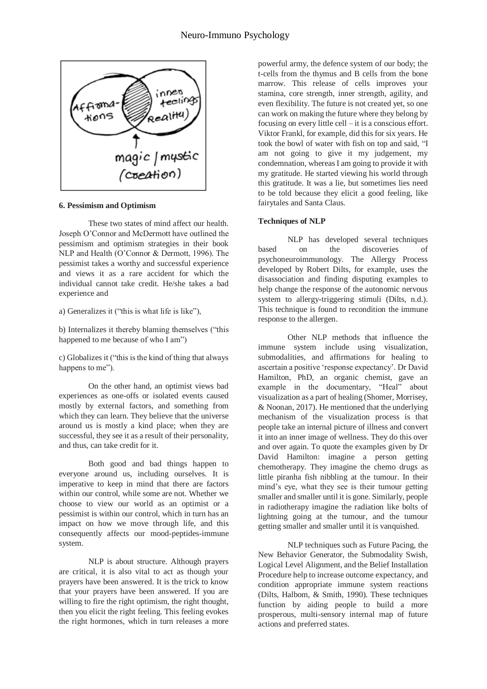

**6. Pessimism and Optimism**

These two states of mind affect our health. Joseph O'Connor and McDermott have outlined the pessimism and optimism strategies in their book NLP and Health (O'Connor & Dermott, 1996). The pessimist takes a worthy and successful experience and views it as a rare accident for which the individual cannot take credit. He/she takes a bad experience and

a) Generalizes it ("this is what life is like"),

b) Internalizes it thereby blaming themselves ("this happened to me because of who I am")

c) Globalizes it ("this is the kind of thing that always happens to me").

On the other hand, an optimist views bad experiences as one-offs or isolated events caused mostly by external factors, and something from which they can learn. They believe that the universe around us is mostly a kind place; when they are successful, they see it as a result of their personality, and thus, can take credit for it.

Both good and bad things happen to everyone around us, including ourselves. It is imperative to keep in mind that there are factors within our control, while some are not. Whether we choose to view our world as an optimist or a pessimist is within our control, which in turn has an impact on how we move through life, and this consequently affects our mood-peptides-immune system.

NLP is about structure. Although prayers are critical, it is also vital to act as though your prayers have been answered. It is the trick to know that your prayers have been answered. If you are willing to fire the right optimism, the right thought, then you elicit the right feeling. This feeling evokes the right hormones, which in turn releases a more powerful army, the defence system of our body; the t-cells from the thymus and B cells from the bone marrow. This release of cells improves your stamina, core strength, inner strength, agility, and even flexibility. The future is not created yet, so one can work on making the future where they belong by focusing on every little cell – it is a conscious effort. Viktor Frankl, for example, did this for six years. He took the bowl of water with fish on top and said, "I am not going to give it my judgement, my condemnation, whereas I am going to provide it with my gratitude. He started viewing his world through this gratitude. It was a lie, but sometimes lies need to be told because they elicit a good feeling, like fairytales and Santa Claus.

# **Techniques of NLP**

NLP has developed several techniques based on the discoveries of psychoneuroimmunology. The Allergy Process developed by Robert Dilts, for example, uses the disassociation and finding disputing examples to help change the response of the autonomic nervous system to allergy-triggering stimuli (Dilts, n.d.). This technique is found to recondition the immune response to the allergen.

Other NLP methods that influence the immune system include using visualization, submodalities, and affirmations for healing to ascertain a positive 'response expectancy'. Dr David Hamilton, PhD, an organic chemist, gave an example in the documentary, "Heal" about visualization as a part of healing (Shomer, Morrisey, & Noonan, 2017). He mentioned that the underlying mechanism of the visualization process is that people take an internal picture of illness and convert it into an inner image of wellness. They do this over and over again. To quote the examples given by Dr David Hamilton: imagine a person getting chemotherapy. They imagine the chemo drugs as little piranha fish nibbling at the tumour. In their mind's eye, what they see is their tumour getting smaller and smaller until it is gone. Similarly, people in radiotherapy imagine the radiation like bolts of lightning going at the tumour, and the tumour getting smaller and smaller until it is vanquished.

NLP techniques such as Future Pacing, the New Behavior Generator, the Submodality Swish, Logical Level Alignment, and the Belief Installation Procedure help to increase outcome expectancy, and condition appropriate immune system reactions (Dilts, Halbom, & Smith, 1990). These techniques function by aiding people to build a more prosperous, multi-sensory internal map of future actions and preferred states.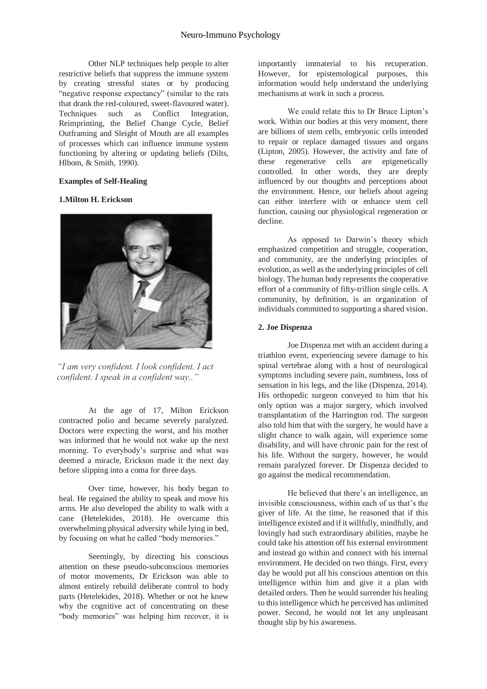Other NLP techniques help people to alter restrictive beliefs that suppress the immune system by creating stressful states or by producing "negative response expectancy" (similar to the rats that drank the red-coloured, sweet-flavoured water). Techniques such as Conflict Integration, Reimprinting, the Belief Change Cycle, Belief Outframing and Sleight of Mouth are all examples of processes which can influence immune system functioning by altering or updating beliefs (Dilts, Hlbom, & Smith, 1990).

#### **Examples of Self-Healing**

#### **1.Milton H. Erickson**



*"I am very confident. I look confident. I act confident. I speak in a confident way.."*

At the age of 17, Milton Erickson contracted polio and became severely paralyzed. Doctors were expecting the worst, and his mother was informed that he would not wake up the next morning. To everybody's surprise and what was deemed a miracle, Erickson made it the next day before slipping into a coma for three days.

Over time, however, his body began to heal. He regained the ability to speak and move his arms. He also developed the ability to walk with a cane (Hetelekides, 2018). He overcame this overwhelming physical adversity while lying in bed, by focusing on what he called "body memories."

Seemingly, by directing his conscious attention on these pseudo-subconscious memories of motor movements, Dr Erickson was able to almost entirely rebuild deliberate control to body parts (Hetelekides, 2018). Whether or not he knew why the cognitive act of concentrating on these "body memories" was helping him recover, it is importantly immaterial to his recuperation. However, for epistemological purposes, this information would help understand the underlying mechanisms at work in such a process.

We could relate this to Dr Bruce Lipton's work. Within our bodies at this very moment, there are billions of stem cells, embryonic cells intended to repair or replace damaged tissues and organs (Lipton, 2005). However, the activity and fate of these regenerative cells are epigenetically controlled. In other words, they are deeply influenced by our thoughts and perceptions about the environment. Hence, our beliefs about ageing can either interfere with or enhance stem cell function, causing our physiological regeneration or decline.

As opposed to Darwin's theory which emphasized competition and struggle, cooperation, and community, are the underlying principles of evolution, as well as the underlying principles of cell biology. The human body represents the cooperative effort of a community of fifty-trillion single cells. A community, by definition, is an organization of individuals committed to supporting a shared vision.

#### **2. Joe Dispenza**

Joe Dispenza met with an accident during a triathlon event, experiencing severe damage to his spinal vertebrae along with a host of neurological symptoms including severe pain, numbness, loss of sensation in his legs, and the like (Dispenza, 2014). His orthopedic surgeon conveyed to him that his only option was a major surgery, which involved transplantation of the Harrington rod. The surgeon also told him that with the surgery, he would have a slight chance to walk again, will experience some disability, and will have chronic pain for the rest of his life. Without the surgery, however, he would remain paralyzed forever. Dr Dispenza decided to go against the medical recommendation.

He believed that there's an intelligence, an invisible consciousness, within each of us that's the giver of life. At the time, he reasoned that if this intelligence existed and if it willfully, mindfully, and lovingly had such extraordinary abilities, maybe he could take his attention off his external environment and instead go within and connect with his internal environment. He decided on two things. First, every day he would put all his conscious attention on this intelligence within him and give it a plan with detailed orders. Then he would surrender his healing to this intelligence which he perceived has unlimited power. Second, he would not let any unpleasant thought slip by his awareness.